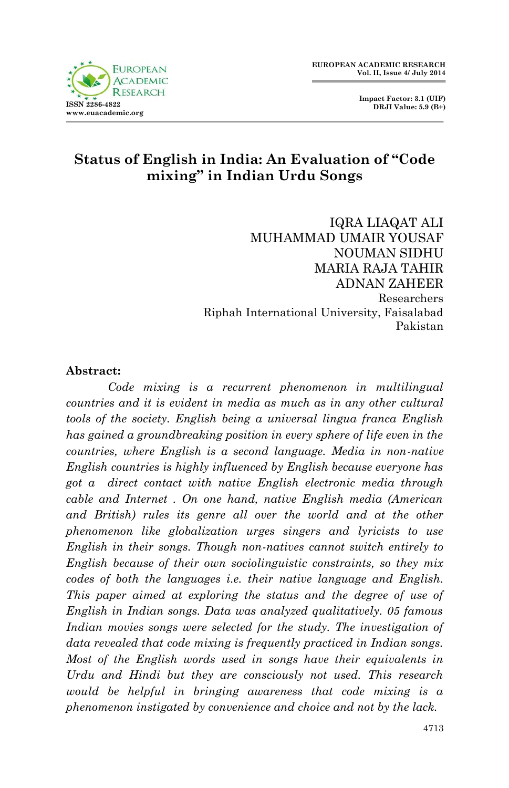



## **Status of English in India: An Evaluation of "Code mixing" in Indian Urdu Songs**

IQRA LIAQAT ALI MUHAMMAD UMAIR YOUSAF NOUMAN SIDHU MARIA RAJA TAHIR ADNAN ZAHEER Researchers Riphah International University, Faisalabad Pakistan

### **Abstract:**

*Code mixing is a recurrent phenomenon in multilingual countries and it is evident in media as much as in any other cultural tools of the society. English being a universal lingua franca English has gained a groundbreaking position in every sphere of life even in the countries, where English is a second language. Media in non-native English countries is highly influenced by English because everyone has got a direct contact with native English electronic media through cable and Internet . On one hand, native English media (American and British) rules its genre all over the world and at the other phenomenon like globalization urges singers and lyricists to use English in their songs. Though non-natives cannot switch entirely to English because of their own sociolinguistic constraints, so they mix codes of both the languages i.e. their native language and English. This paper aimed at exploring the status and the degree of use of English in Indian songs. Data was analyzed qualitatively. 05 famous Indian movies songs were selected for the study. The investigation of data revealed that code mixing is frequently practiced in Indian songs. Most of the English words used in songs have their equivalents in Urdu and Hindi but they are consciously not used. This research would be helpful in bringing awareness that code mixing is a phenomenon instigated by convenience and choice and not by the lack.*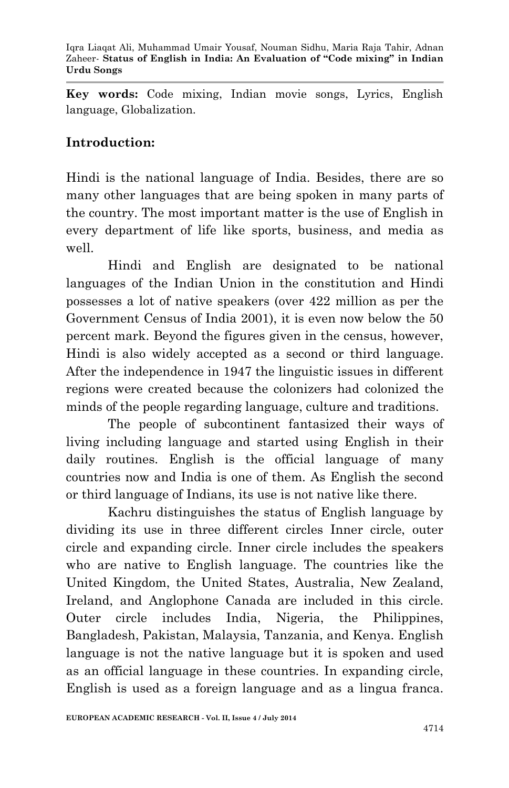**Key words:** Code mixing, Indian movie songs, Lyrics, English language, Globalization.

### **Introduction:**

Hindi is the national language of India. Besides, there are so many other languages that are being spoken in many parts of the country. The most important matter is the use of English in every department of life like sports, business, and media as well.

Hindi and English are designated to be national languages of the Indian Union in the constitution and Hindi possesses a lot of native speakers (over 422 million as per the Government Census of India 2001), it is even now below the 50 percent mark. Beyond the figures given in the census, however, Hindi is also widely accepted as a second or third language. After the independence in 1947 the linguistic issues in different regions were created because the colonizers had colonized the minds of the people regarding language, culture and traditions.

The people of subcontinent fantasized their ways of living including language and started using English in their daily routines. English is the official language of many countries now and India is one of them. As English the second or third language of Indians, its use is not native like there.

Kachru distinguishes the status of English language by dividing its use in three different circles Inner circle, outer circle and expanding circle. Inner circle includes the speakers who are native to English language. The countries like the United Kingdom, the United States, Australia, New Zealand, Ireland, and Anglophone Canada are included in this circle. Outer circle includes India, Nigeria, the Philippines, Bangladesh, Pakistan, Malaysia, Tanzania, and Kenya. English language is not the native language but it is spoken and used as an official language in these countries. In expanding circle, English is used as a foreign language and as a lingua franca.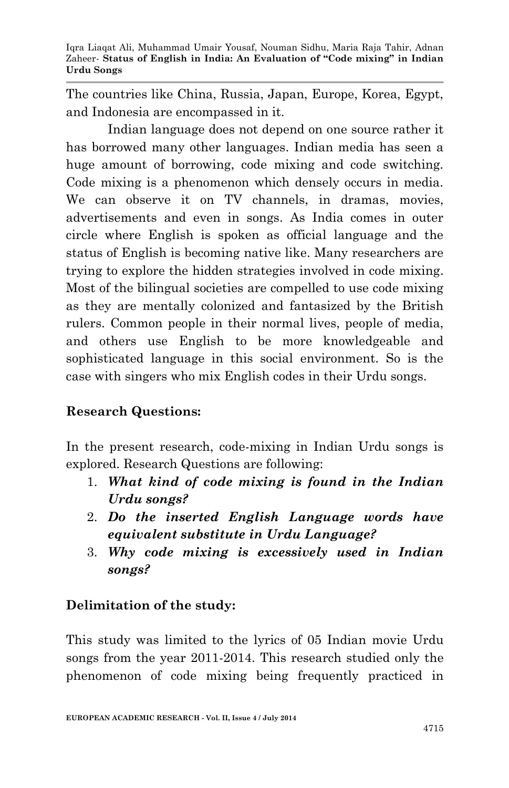The countries like China, Russia, Japan, Europe, Korea, Egypt, and Indonesia are encompassed in it.

Indian language does not depend on one source rather it has borrowed many other languages. Indian media has seen a huge amount of borrowing, code mixing and code switching. Code mixing is a phenomenon which densely occurs in media. We can observe it on TV channels, in dramas, movies, advertisements and even in songs. As India comes in outer circle where English is spoken as official language and the status of English is becoming native like. Many researchers are trying to explore the hidden strategies involved in code mixing. Most of the bilingual societies are compelled to use code mixing as they are mentally colonized and fantasized by the British rulers. Common people in their normal lives, people of media, and others use English to be more knowledgeable and sophisticated language in this social environment. So is the case with singers who mix English codes in their Urdu songs.

# **Research Questions:**

In the present research, code-mixing in Indian Urdu songs is explored. Research Questions are following:

- 1. *What kind of code mixing is found in the Indian Urdu songs?*
- 2. *Do the inserted English Language words have equivalent substitute in Urdu Language?*
- 3. *Why code mixing is excessively used in Indian songs?*

# **Delimitation of the study:**

This study was limited to the lyrics of 05 Indian movie Urdu songs from the year 2011-2014. This research studied only the phenomenon of code mixing being frequently practiced in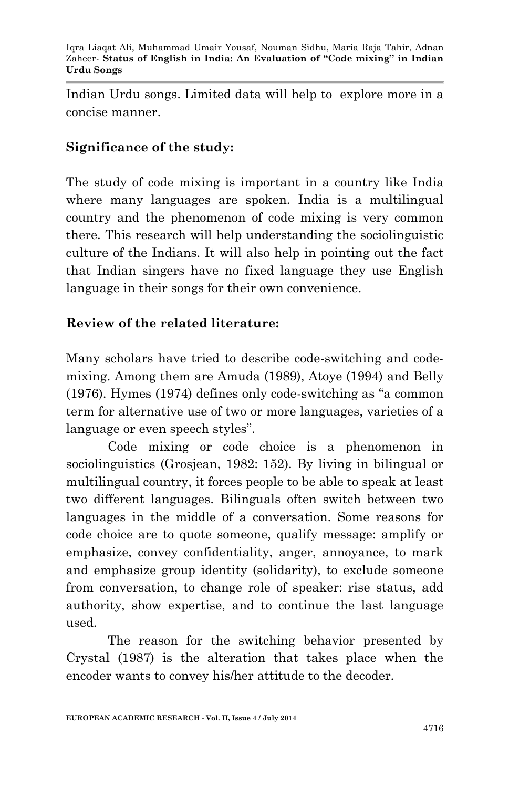Indian Urdu songs. Limited data will help to explore more in a concise manner.

### **Significance of the study:**

The study of code mixing is important in a country like India where many languages are spoken. India is a multilingual country and the phenomenon of code mixing is very common there. This research will help understanding the sociolinguistic culture of the Indians. It will also help in pointing out the fact that Indian singers have no fixed language they use English language in their songs for their own convenience.

### **Review of the related literature:**

Many scholars have tried to describe code-switching and codemixing. Among them are Amuda (1989), Atoye (1994) and Belly (1976). Hymes (1974) defines only code-switching as "a common term for alternative use of two or more languages, varieties of a language or even speech styles".

Code mixing or code choice is a phenomenon in sociolinguistics (Grosjean, 1982: 152). By living in bilingual or multilingual country, it forces people to be able to speak at least two different languages. Bilinguals often switch between two languages in the middle of a conversation. Some reasons for code choice are to quote someone, qualify message: amplify or emphasize, convey confidentiality, anger, annoyance, to mark and emphasize group identity (solidarity), to exclude someone from conversation, to change role of speaker: rise status, add authority, show expertise, and to continue the last language used.

The reason for the switching behavior presented by Crystal (1987) is the alteration that takes place when the encoder wants to convey his/her attitude to the decoder.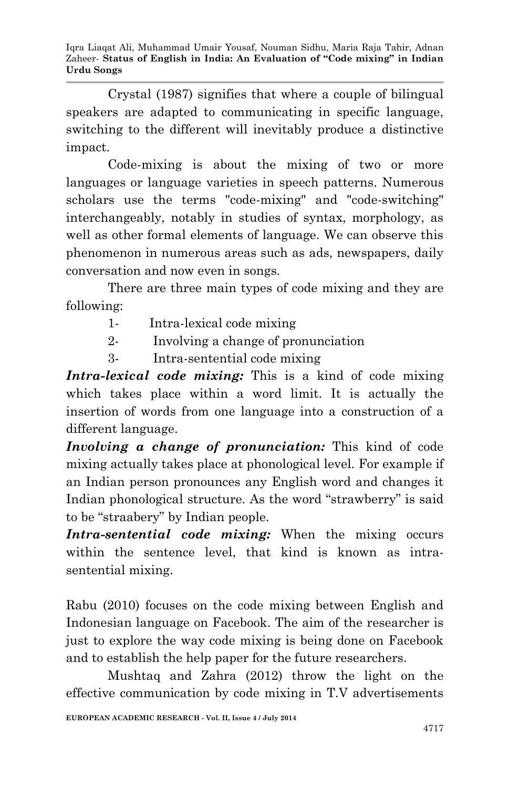Crystal (1987) signifies that where a couple of bilingual speakers are adapted to communicating in specific language, switching to the different will inevitably produce a distinctive impact.

Code-mixing is about the mixing of two or more languages or language varieties in speech patterns. Numerous scholars use the terms "code-mixing" and "code-switching" interchangeably, notably in studies of syntax, morphology, as well as other formal elements of language. We can observe this phenomenon in numerous areas such as ads, newspapers, daily conversation and now even in songs.

There are three main types of code mixing and they are following:

- 1- Intra-lexical code mixing
- 2- Involving a change of pronunciation
- 3- Intra-sentential code mixing

*Intra-lexical code mixing:* This is a kind of code mixing which takes place within a word limit. It is actually the insertion of words from one language into a construction of a different language.

*Involving a change of pronunciation:* This kind of code mixing actually takes place at phonological level. For example if an Indian person pronounces any English word and changes it Indian phonological structure. As the word "strawberry" is said to be "straabery" by Indian people.

*Intra-sentential code mixing:* When the mixing occurs within the sentence level, that kind is known as intrasentential mixing.

Rabu (2010) focuses on the code mixing between English and Indonesian language on Facebook. The aim of the researcher is just to explore the way code mixing is being done on Facebook and to establish the help paper for the future researchers.

Mushtaq and Zahra (2012) throw the light on the effective communication by code mixing in T.V advertisements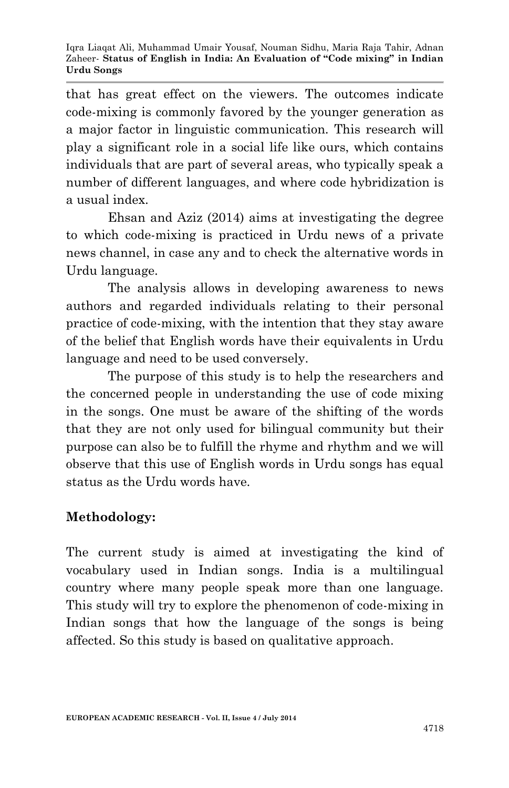that has great effect on the viewers. The outcomes indicate code-mixing is commonly favored by the younger generation as a major factor in linguistic communication. This research will play a significant role in a social life like ours, which contains individuals that are part of several areas, who typically speak a number of different languages, and where code hybridization is a usual index.

Ehsan and Aziz (2014) aims at investigating the degree to which code-mixing is practiced in Urdu news of a private news channel, in case any and to check the alternative words in Urdu language.

The analysis allows in developing awareness to news authors and regarded individuals relating to their personal practice of code-mixing, with the intention that they stay aware of the belief that English words have their equivalents in Urdu language and need to be used conversely.

The purpose of this study is to help the researchers and the concerned people in understanding the use of code mixing in the songs. One must be aware of the shifting of the words that they are not only used for bilingual community but their purpose can also be to fulfill the rhyme and rhythm and we will observe that this use of English words in Urdu songs has equal status as the Urdu words have.

### **Methodology:**

The current study is aimed at investigating the kind of vocabulary used in Indian songs. India is a multilingual country where many people speak more than one language. This study will try to explore the phenomenon of code-mixing in Indian songs that how the language of the songs is being affected. So this study is based on qualitative approach.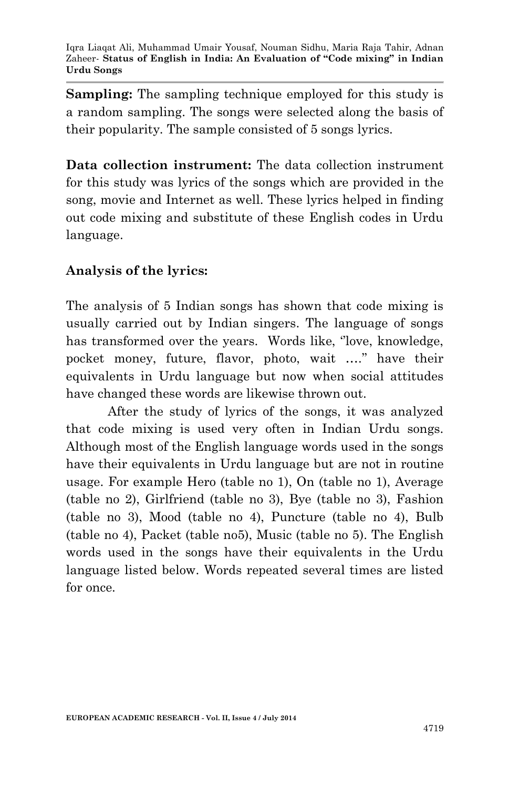**Sampling:** The sampling technique employed for this study is a random sampling. The songs were selected along the basis of their popularity. The sample consisted of 5 songs lyrics.

**Data collection instrument:** The data collection instrument for this study was lyrics of the songs which are provided in the song, movie and Internet as well. These lyrics helped in finding out code mixing and substitute of these English codes in Urdu language.

## **Analysis of the lyrics:**

The analysis of 5 Indian songs has shown that code mixing is usually carried out by Indian singers. The language of songs has transformed over the years. Words like, ''love, knowledge, pocket money, future, flavor, photo, wait ….'' have their equivalents in Urdu language but now when social attitudes have changed these words are likewise thrown out.

After the study of lyrics of the songs, it was analyzed that code mixing is used very often in Indian Urdu songs. Although most of the English language words used in the songs have their equivalents in Urdu language but are not in routine usage. For example Hero (table no 1), On (table no 1), Average (table no 2), Girlfriend (table no 3), Bye (table no 3), Fashion (table no 3), Mood (table no 4), Puncture (table no 4), Bulb (table no 4), Packet (table no5), Music (table no 5). The English words used in the songs have their equivalents in the Urdu language listed below. Words repeated several times are listed for once.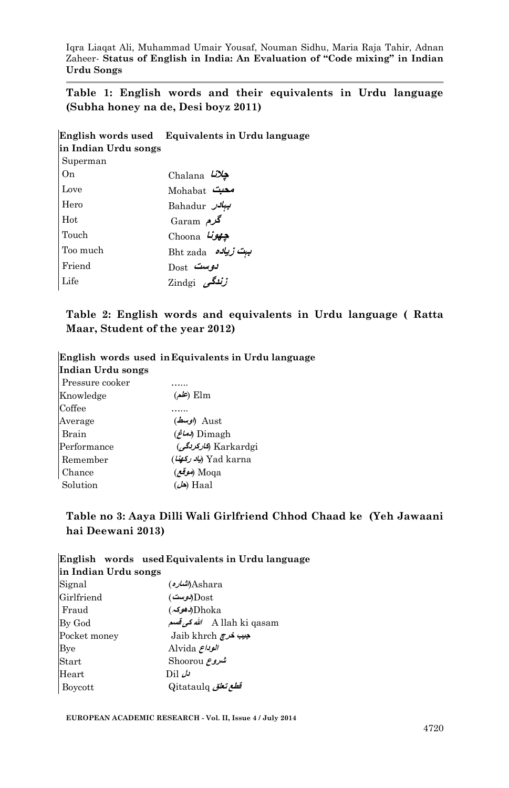**Table 1: English words and their equivalents in Urdu language (Subha honey na de, Desi boyz 2011)**

**English words used Equivalents in Urdu language in Indian Urdu songs** Superman On Chalana **چالنا** Love Mohabat **محبت** Hero Bahadur **بہادر** Hot Garam **گرم** Touch Choona **چھونا** Too much Bht zada **زیادہ بہت** Friend Dost **دوست** Life Zindgi **زندگی**

#### **Table 2: English words and equivalents in Urdu language ( Ratta Maar, Student of the year 2012)**

**English words used in Equivalents in Urdu language Indian Urdu songs** Pressure cooker …… Knowledge (**علم** (Elm Coffee …... Average (**اوسط** (Aust Brain (**دماغ** (Dimagh Performance (**کارکردگی** (Karkardgi Remember (**رکھنا یاد** (Yad karna Chance (**موقع** (Moqa Solution *(حل*) Haal

#### **Table no 3: Aaya Dilli Wali Girlfriend Chhod Chaad ke (Yeh Jawaani hai Deewani 2013)**

#### **English words used Equivalents in Urdu language in Indian Urdu songs**

| Signal       | Ashara(شارہ)                         |
|--------------|--------------------------------------|
| Girlfriend   | Dost((وست)                           |
| Fraud        | Dhoka(دهویم)                         |
| By God       | A llah ki qasam / <i>الله كي قسم</i> |
| Pocket money | Jaib khrch جيب خرج                   |
| Bye          | <i>الوداع Alvida</i>                 |
| Start        | شىروىم Shoorou                       |
| Heart        | $\operatorname{Dil} \omega$          |
| Boycott      | قطع تعلق Qitataulq                   |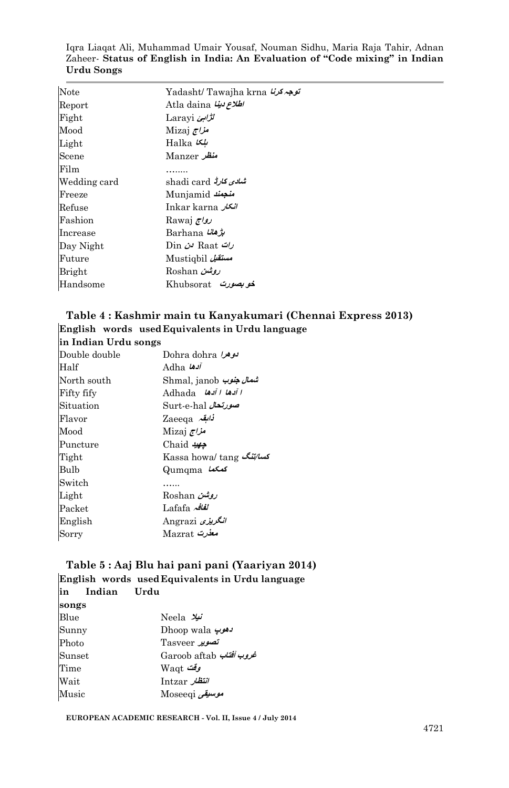| Note         | <i>توجہ کرنا Y</i> adasht/ Tawajha krna |
|--------------|-----------------------------------------|
| Report       | الملاح بينا Atla daina                  |
| Fight        | لڑاپئے Larayi                           |
| Mood         | <i>مزاج</i> Mizaj                       |
| Light        | <i>بلكا</i> Halka                       |
| Scene        | منظر Manzer                             |
| Film         |                                         |
| Wedding card | شلا <i>ق کارڈ</i> shadi card            |
| Freeze       | Munjamid منجمند                         |
| Refuse       | <i>انگار</i> Inkar karna                |
| Fashion      | <i>R</i> awaj ار <i>واج</i>             |
| Increase     | <i>بڑ قانا Barhana</i>                  |
| Day Night    | رات Raat ن Din                          |
| Future       | سىتق <i>ىل</i> Mustigbil                |
| Bright       | روشن Roshan                             |
| Handsome     | <del>خو بصورت   K</del> hubsorat        |

### **Table 4 : Kashmir main tu Kanyakumari (Chennai Express 2013) English words used Equivalents in Urdu language**

**in Indian Urdu songs**

| Double double | Dohra dohra موهر!                |
|---------------|----------------------------------|
| Half          | <i>Adha ادها</i>                 |
| North south   | ش <i>مال جنوب S</i> hmal, janob  |
| Fifty fify    | <i>Adhada ا آدها ا آدها</i>      |
| Situation     | ص <i>ورتحال S</i> urt-e-hal      |
| Flavor        | ن <i>ابقہ</i> Zaeeqa             |
| Mood          | مزاج Mizaj                       |
| Puncture      | Chaid جهيد                       |
| Tight         | ک <i>سا/تنگ Kassa howa/ tang</i> |
| Bulb          | Qumqma لمعکمه                    |
| Switch        |                                  |
| Light         | روشن Roshan                      |
| Packet        | <u>Lafafa لفافہ</u>              |
| English       | <i>انگریزی</i> Angrazi           |
| Sorry         | معذرت Mazrat                     |

#### **Table 5 : Aaj Blu hai pani pani (Yaariyan 2014) English words used Equivalents in Urdu language in Indian Urdu**

| .      | <br>.                    |
|--------|--------------------------|
| songs  |                          |
| Blue   | <i>تیلا</i> Neela        |
| Sunny  | <b>Dhoop</b> wala باھوپ  |
| Photo  | تصویر Tasveer            |
| Sunset | Garoob aftab نعروب تفتاب |
| Time   | وقت Waqt                 |
| Wait   | انتظار Intzar            |
| Music  | Moseeqi موسيقى           |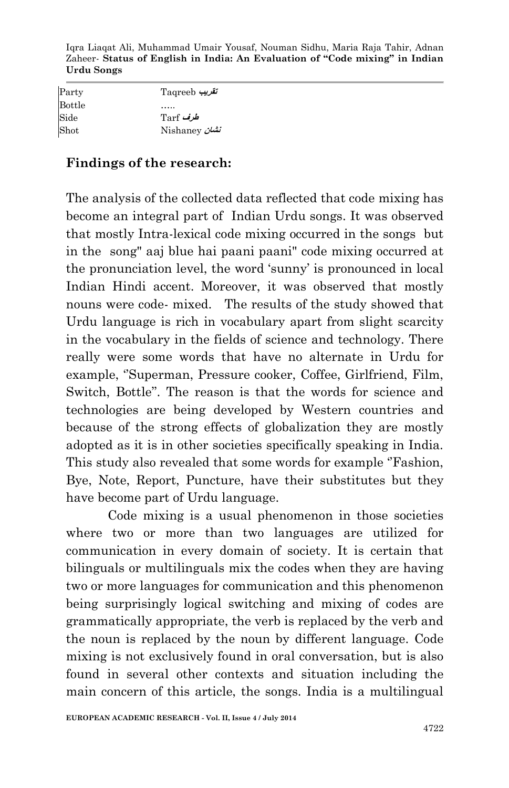| Party  | تقریب Taqreeb         |
|--------|-----------------------|
| Bottle |                       |
| Side   | طرف Tarf              |
| Shot   | <i>تشان N</i> ishaney |

### **Findings of the research:**

The analysis of the collected data reflected that code mixing has become an integral part of Indian Urdu songs. It was observed that mostly Intra-lexical code mixing occurred in the songs but in the song" aaj blue hai paani paani" code mixing occurred at the pronunciation level, the word 'sunny' is pronounced in local Indian Hindi accent. Moreover, it was observed that mostly nouns were code- mixed. The results of the study showed that Urdu language is rich in vocabulary apart from slight scarcity in the vocabulary in the fields of science and technology. There really were some words that have no alternate in Urdu for example, "Superman, Pressure cooker, Coffee, Girlfriend, Film, Switch, Bottle''. The reason is that the words for science and technologies are being developed by Western countries and because of the strong effects of globalization they are mostly adopted as it is in other societies specifically speaking in India. This study also revealed that some words for example "Fashion, Bye, Note, Report, Puncture, have their substitutes but they have become part of Urdu language.

Code mixing is a usual phenomenon in those societies where two or more than two languages are utilized for communication in every domain of society. It is certain that bilinguals or multilinguals mix the codes when they are having two or more languages for communication and this phenomenon being surprisingly logical switching and mixing of codes are grammatically appropriate, the verb is replaced by the verb and the noun is replaced by the noun by different language. Code mixing is not exclusively found in oral conversation, but is also found in several other contexts and situation including the main concern of this article, the songs. India is a multilingual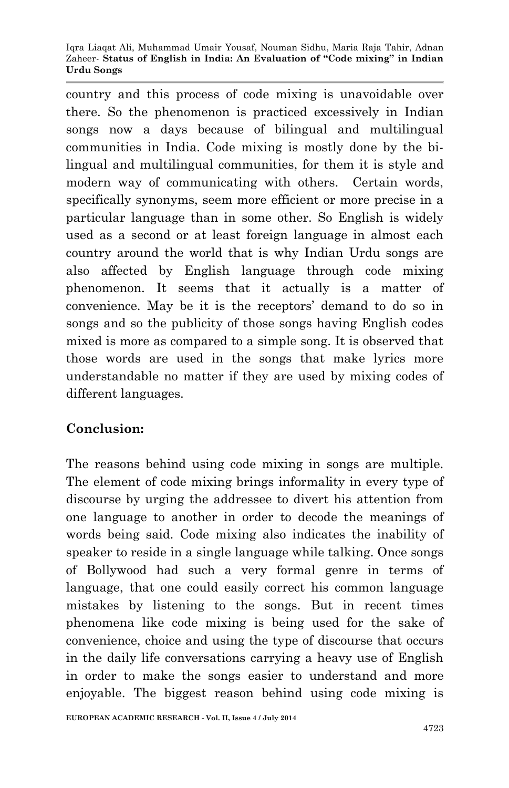country and this process of code mixing is unavoidable over there. So the phenomenon is practiced excessively in Indian songs now a days because of bilingual and multilingual communities in India. Code mixing is mostly done by the bilingual and multilingual communities, for them it is style and modern way of communicating with others. Certain words, specifically synonyms, seem more efficient or more precise in a particular language than in some other. So English is widely used as a second or at least foreign language in almost each country around the world that is why Indian Urdu songs are also affected by English language through code mixing phenomenon. It seems that it actually is a matter of convenience. May be it is the receptors' demand to do so in songs and so the publicity of those songs having English codes mixed is more as compared to a simple song. It is observed that those words are used in the songs that make lyrics more understandable no matter if they are used by mixing codes of different languages.

### **Conclusion:**

The reasons behind using code mixing in songs are multiple. The element of code mixing brings informality in every type of discourse by urging the addressee to divert his attention from one language to another in order to decode the meanings of words being said. Code mixing also indicates the inability of speaker to reside in a single language while talking. Once songs of Bollywood had such a very formal genre in terms of language, that one could easily correct his common language mistakes by listening to the songs. But in recent times phenomena like code mixing is being used for the sake of convenience, choice and using the type of discourse that occurs in the daily life conversations carrying a heavy use of English in order to make the songs easier to understand and more enjoyable. The biggest reason behind using code mixing is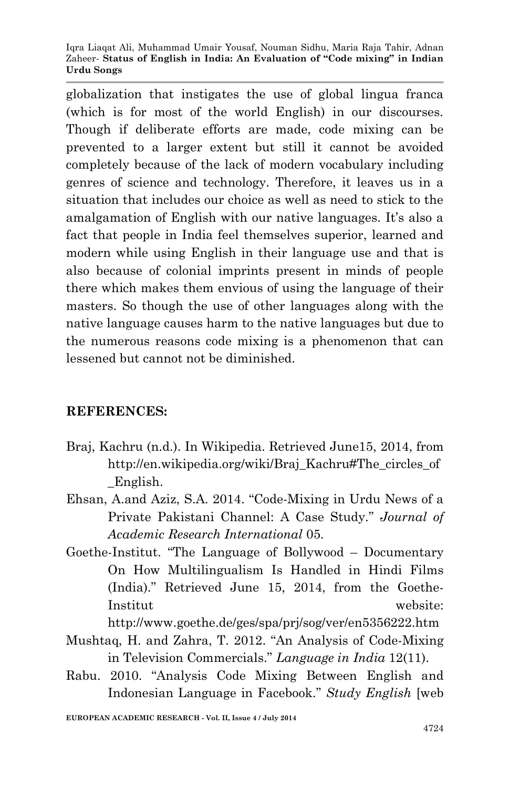globalization that instigates the use of global lingua franca (which is for most of the world English) in our discourses. Though if deliberate efforts are made, code mixing can be prevented to a larger extent but still it cannot be avoided completely because of the lack of modern vocabulary including genres of science and technology. Therefore, it leaves us in a situation that includes our choice as well as need to stick to the amalgamation of English with our native languages. It's also a fact that people in India feel themselves superior, learned and modern while using English in their language use and that is also because of colonial imprints present in minds of people there which makes them envious of using the language of their masters. So though the use of other languages along with the native language causes harm to the native languages but due to the numerous reasons code mixing is a phenomenon that can lessened but cannot not be diminished.

### **REFERENCES:**

- Braj, Kachru (n.d.). In Wikipedia. Retrieved June15, 2014, from http://en.wikipedia.org/wiki/Braj\_Kachru#The\_circles\_of \_English.
- Ehsan, A.and Aziz, S.A. 2014. "Code-Mixing in Urdu News of a Private Pakistani Channel: A Case Study." *Journal of Academic Research International* 05.
- Goethe-Institut. "The Language of Bollywood Documentary On How Multilingualism Is Handled in Hindi Films (India)." Retrieved June 15, 2014, from the Goethe-Institut website:

http://www.goethe.de/ges/spa/prj/sog/ver/en5356222.htm

- Mushtaq, H. and Zahra, T. 2012. "An Analysis of Code-Mixing in Television Commercials." *Language in India* 12(11).
- Rabu. 2010. "Analysis Code Mixing Between English and Indonesian Language in Facebook." *Study English* [web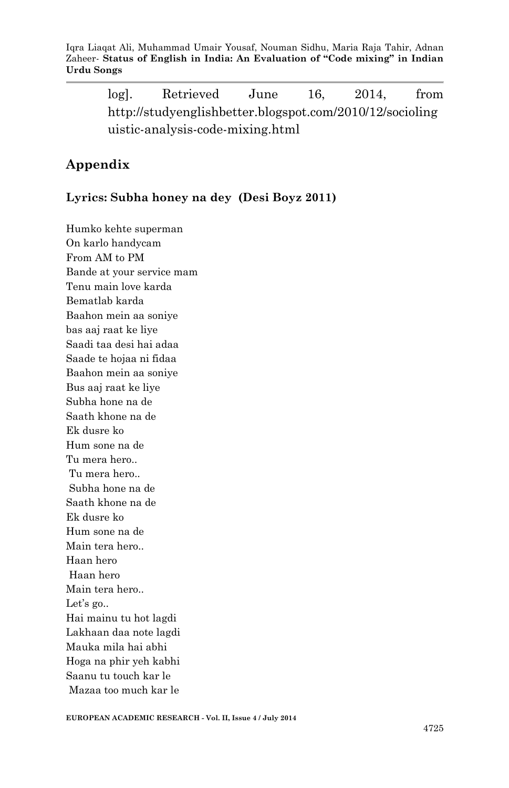log]. Retrieved June 16, 2014, from http://studyenglishbetter.blogspot.com/2010/12/socioling uistic-analysis-code-mixing.html

### **Appendix**

### **Lyrics: Subha honey na dey (Desi Boyz 2011)**

Humko kehte superman On karlo handycam From AM to PM Bande at your service mam Tenu main love karda Bematlab karda Baahon mein aa soniye bas aaj raat ke liye Saadi taa desi hai adaa Saade te hojaa ni fidaa Baahon mein aa soniye Bus aaj raat ke liye Subha hone na de Saath khone na de Ek dusre ko Hum sone na de Tu mera hero.. Tu mera hero.. Subha hone na de Saath khone na de Ek dusre ko Hum sone na de Main tera hero.. Haan hero Haan hero Main tera hero.. Let's go.. Hai mainu tu hot lagdi Lakhaan daa note lagdi Mauka mila hai abhi Hoga na phir yeh kabhi Saanu tu touch kar le Mazaa too much kar le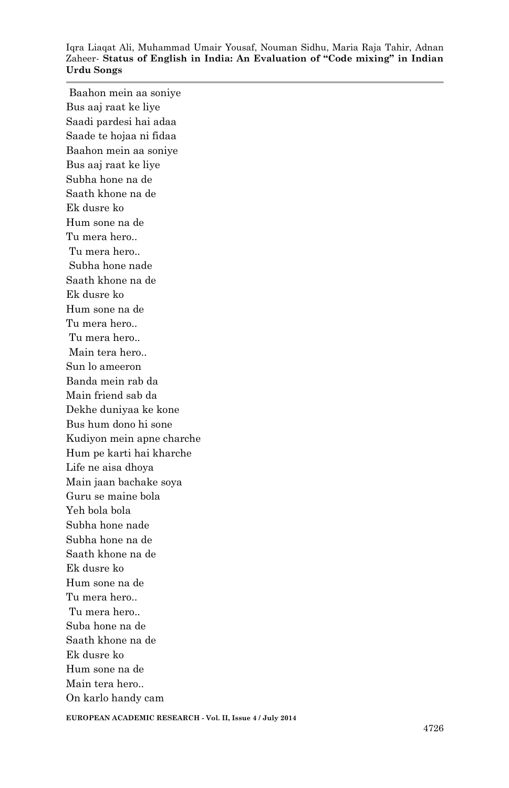Baahon mein aa soniye Bus aaj raat ke liye Saadi pardesi hai adaa Saade te hojaa ni fidaa Baahon mein aa soniye Bus aaj raat ke liye Subha hone na de Saath khone na de Ek dusre ko Hum sone na de Tu mera hero.. Tu mera hero.. Subha hone nade Saath khone na de Ek dusre ko Hum sone na de Tu mera hero.. Tu mera hero.. Main tera hero.. Sun lo ameeron Banda mein rab da Main friend sab da Dekhe duniyaa ke kone Bus hum dono hi sone Kudiyon mein apne charche Hum pe karti hai kharche Life ne aisa dhoya Main jaan bachake soya Guru se maine bola Yeh bola bola Subha hone nade Subha hone na de Saath khone na de Ek dusre ko Hum sone na de Tu mera hero.. Tu mera hero.. Suba hone na de Saath khone na de Ek dusre ko Hum sone na de Main tera hero.. On karlo handy cam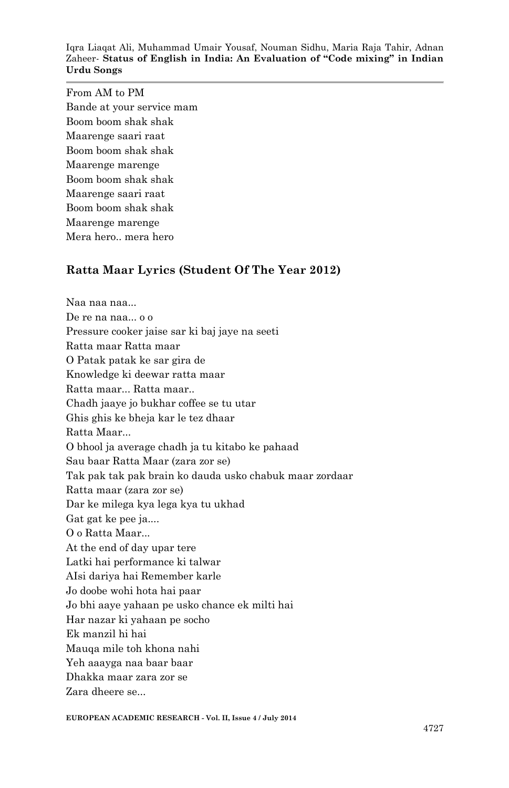From AM to PM Bande at your service mam Boom boom shak shak Maarenge saari raat Boom boom shak shak Maarenge marenge Boom boom shak shak Maarenge saari raat Boom boom shak shak Maarenge marenge Mera hero.. mera hero

#### **Ratta Maar Lyrics (Student Of The Year 2012)**

Naa naa naa... De re na naa... o o Pressure cooker jaise sar ki baj jaye na seeti Ratta maar Ratta maar O Patak patak ke sar gira de Knowledge ki deewar ratta maar Ratta maar... Ratta maar.. Chadh jaaye jo bukhar coffee se tu utar Ghis ghis ke bheja kar le tez dhaar Ratta Maar... O bhool ja average chadh ja tu kitabo ke pahaad Sau baar Ratta Maar (zara zor se) Tak pak tak pak brain ko dauda usko chabuk maar zordaar Ratta maar (zara zor se) Dar ke milega kya lega kya tu ukhad Gat gat ke pee ja.... O o Ratta Maar... At the end of day upar tere Latki hai performance ki talwar AIsi dariya hai Remember karle Jo doobe wohi hota hai paar Jo bhi aaye yahaan pe usko chance ek milti hai Har nazar ki yahaan pe socho Ek manzil hi hai Mauqa mile toh khona nahi Yeh aaayga naa baar baar Dhakka maar zara zor se Zara dheere se...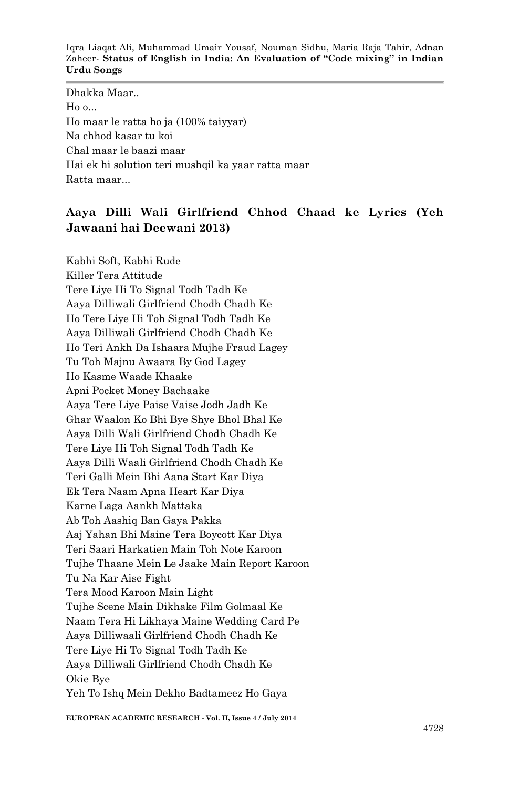Dhakka Maar.. Ho o... Ho maar le ratta ho ja (100% taiyyar) Na chhod kasar tu koi Chal maar le baazi maar Hai ek hi solution teri mushqil ka yaar ratta maar Ratta maar...

### **Aaya Dilli Wali Girlfriend Chhod Chaad ke Lyrics (Yeh Jawaani hai Deewani 2013)**

Kabhi Soft, Kabhi Rude Killer Tera Attitude Tere Liye Hi To Signal Todh Tadh Ke Aaya Dilliwali Girlfriend Chodh Chadh Ke Ho Tere Liye Hi Toh Signal Todh Tadh Ke Aaya Dilliwali Girlfriend Chodh Chadh Ke Ho Teri Ankh Da Ishaara Mujhe Fraud Lagey Tu Toh Majnu Awaara By God Lagey Ho Kasme Waade Khaake Apni Pocket Money Bachaake Aaya Tere Liye Paise Vaise Jodh Jadh Ke Ghar Waalon Ko Bhi Bye Shye Bhol Bhal Ke Aaya Dilli Wali Girlfriend Chodh Chadh Ke Tere Liye Hi Toh Signal Todh Tadh Ke Aaya Dilli Waali Girlfriend Chodh Chadh Ke Teri Galli Mein Bhi Aana Start Kar Diya Ek Tera Naam Apna Heart Kar Diya Karne Laga Aankh Mattaka Ab Toh Aashiq Ban Gaya Pakka Aaj Yahan Bhi Maine Tera Boycott Kar Diya Teri Saari Harkatien Main Toh Note Karoon Tujhe Thaane Mein Le Jaake Main Report Karoon Tu Na Kar Aise Fight Tera Mood Karoon Main Light Tujhe Scene Main Dikhake Film Golmaal Ke Naam Tera Hi Likhaya Maine Wedding Card Pe Aaya Dilliwaali Girlfriend Chodh Chadh Ke Tere Liye Hi To Signal Todh Tadh Ke Aaya Dilliwali Girlfriend Chodh Chadh Ke Okie Bye Yeh To Ishq Mein Dekho Badtameez Ho Gaya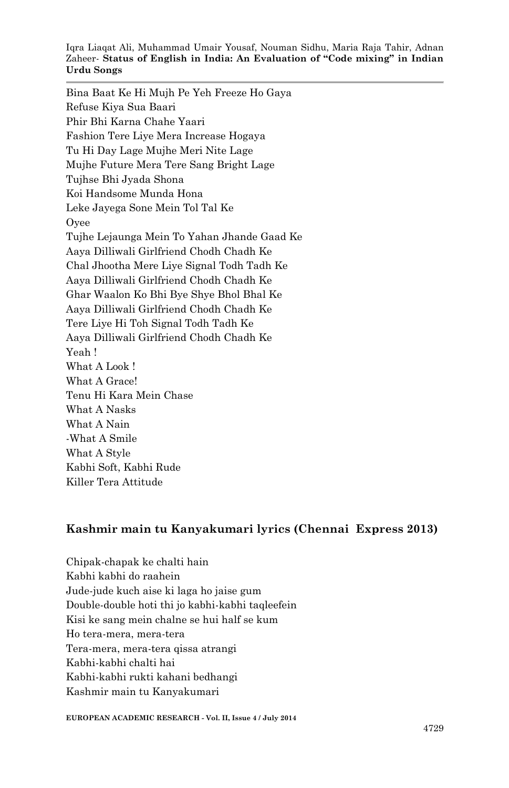Bina Baat Ke Hi Mujh Pe Yeh Freeze Ho Gaya Refuse Kiya Sua Baari Phir Bhi Karna Chahe Yaari Fashion Tere Liye Mera Increase Hogaya Tu Hi Day Lage Mujhe Meri Nite Lage Mujhe Future Mera Tere Sang Bright Lage Tujhse Bhi Jyada Shona Koi Handsome Munda Hona Leke Jayega Sone Mein Tol Tal Ke **O**yee Tujhe Lejaunga Mein To Yahan Jhande Gaad Ke Aaya Dilliwali Girlfriend Chodh Chadh Ke Chal Jhootha Mere Liye Signal Todh Tadh Ke Aaya Dilliwali Girlfriend Chodh Chadh Ke Ghar Waalon Ko Bhi Bye Shye Bhol Bhal Ke Aaya Dilliwali Girlfriend Chodh Chadh Ke Tere Liye Hi Toh Signal Todh Tadh Ke Aaya Dilliwali Girlfriend Chodh Chadh Ke Yeah ! What A Look ! What A Grace! Tenu Hi Kara Mein Chase What A Nasks What A Nain -What A Smile What A Style Kabhi Soft, Kabhi Rude Killer Tera Attitude

#### **Kashmir main tu Kanyakumari lyrics (Chennai Express 2013)**

Chipak-chapak ke chalti hain Kabhi kabhi do raahein Jude-jude kuch aise ki laga ho jaise gum Double-double hoti thi jo kabhi-kabhi taqleefein Kisi ke sang mein chalne se hui half se kum Ho tera-mera, mera-tera Tera-mera, mera-tera qissa atrangi Kabhi-kabhi chalti hai Kabhi-kabhi rukti kahani bedhangi Kashmir main tu Kanyakumari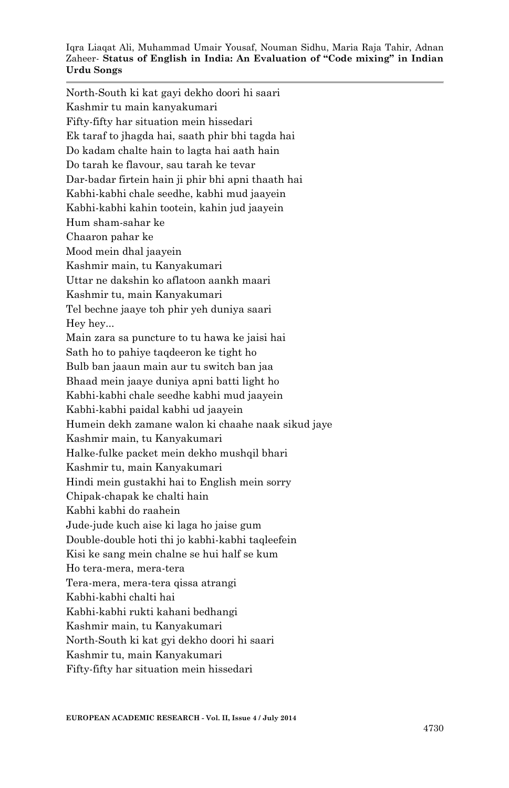North-South ki kat gayi dekho doori hi saari Kashmir tu main kanyakumari Fifty-fifty har situation mein hissedari Ek taraf to jhagda hai, saath phir bhi tagda hai Do kadam chalte hain to lagta hai aath hain Do tarah ke flavour, sau tarah ke tevar Dar-badar firtein hain ji phir bhi apni thaath hai Kabhi-kabhi chale seedhe, kabhi mud jaayein Kabhi-kabhi kahin tootein, kahin jud jaayein Hum sham-sahar ke Chaaron pahar ke Mood mein dhal jaayein Kashmir main, tu Kanyakumari Uttar ne dakshin ko aflatoon aankh maari Kashmir tu, main Kanyakumari Tel bechne jaaye toh phir yeh duniya saari Hey hey... Main zara sa puncture to tu hawa ke jaisi hai Sath ho to pahiye taqdeeron ke tight ho Bulb ban jaaun main aur tu switch ban jaa Bhaad mein jaaye duniya apni batti light ho Kabhi-kabhi chale seedhe kabhi mud jaayein Kabhi-kabhi paidal kabhi ud jaayein Humein dekh zamane walon ki chaahe naak sikud jaye Kashmir main, tu Kanyakumari Halke-fulke packet mein dekho mushqil bhari Kashmir tu, main Kanyakumari Hindi mein gustakhi hai to English mein sorry Chipak-chapak ke chalti hain Kabhi kabhi do raahein Jude-jude kuch aise ki laga ho jaise gum Double-double hoti thi jo kabhi-kabhi taqleefein Kisi ke sang mein chalne se hui half se kum Ho tera-mera, mera-tera Tera-mera, mera-tera qissa atrangi Kabhi-kabhi chalti hai Kabhi-kabhi rukti kahani bedhangi Kashmir main, tu Kanyakumari North-South ki kat gyi dekho doori hi saari Kashmir tu, main Kanyakumari Fifty-fifty har situation mein hissedari